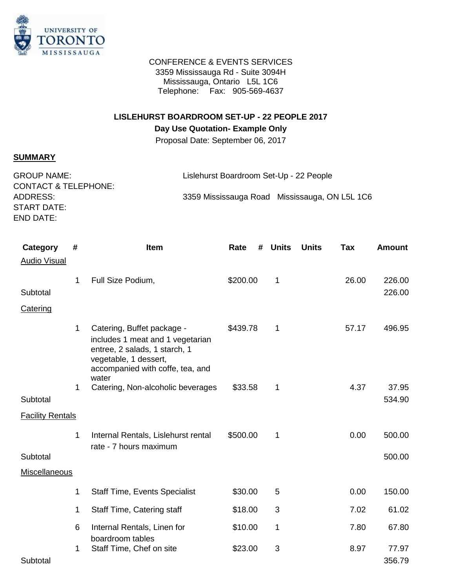

#### CONFERENCE & EVENTS SERVICES 3359 Mississauga Rd - Suite 3094H Mississauga, Ontario L5L 1C6 Telephone: Fax: 905-569-4637

# **LISLEHURST BOARDROOM SET-UP - 22 PEOPLE 2017**

## **Day Use Quotation- Example Only**

Proposal Date: September 06, 2017

## **SUMMARY**

| <b>GROUP NAME:</b>              | Lislehurst Boardroom Set-Up - 22 People       |
|---------------------------------|-----------------------------------------------|
| <b>CONTACT &amp; TELEPHONE:</b> |                                               |
| ADDRESS:                        | 3359 Mississauga Road Mississauga, ON L5L 1C6 |
| START DATE:                     |                                               |
| END DATE:                       |                                               |

| Category<br><b>Audio Visual</b> | # | Item                                                                                                                                                                  | Rate<br># | <b>Units</b> | <b>Units</b> | Tax   | <b>Amount</b>   |
|---------------------------------|---|-----------------------------------------------------------------------------------------------------------------------------------------------------------------------|-----------|--------------|--------------|-------|-----------------|
|                                 | 1 | Full Size Podium,                                                                                                                                                     | \$200.00  | 1            |              | 26.00 | 226.00          |
| Subtotal                        |   |                                                                                                                                                                       |           |              |              |       | 226.00          |
| Catering                        |   |                                                                                                                                                                       |           |              |              |       |                 |
|                                 | 1 | Catering, Buffet package -<br>includes 1 meat and 1 vegetarian<br>entree, 2 salads, 1 starch, 1<br>vegetable, 1 dessert,<br>accompanied with coffe, tea, and<br>water | \$439.78  | 1            |              | 57.17 | 496.95          |
|                                 | 1 | Catering, Non-alcoholic beverages                                                                                                                                     | \$33.58   | 1            |              | 4.37  | 37.95           |
| Subtotal                        |   |                                                                                                                                                                       |           |              |              |       | 534.90          |
| <b>Facility Rentals</b>         |   |                                                                                                                                                                       |           |              |              |       |                 |
|                                 | 1 | Internal Rentals, Lislehurst rental<br>rate - 7 hours maximum                                                                                                         | \$500.00  | 1            |              | 0.00  | 500.00          |
| Subtotal                        |   |                                                                                                                                                                       |           |              |              |       | 500.00          |
| <b>Miscellaneous</b>            |   |                                                                                                                                                                       |           |              |              |       |                 |
|                                 | 1 | <b>Staff Time, Events Specialist</b>                                                                                                                                  | \$30.00   | 5            |              | 0.00  | 150.00          |
|                                 | 1 | Staff Time, Catering staff                                                                                                                                            | \$18.00   | 3            |              | 7.02  | 61.02           |
|                                 | 6 | Internal Rentals, Linen for<br>boardroom tables                                                                                                                       | \$10.00   | 1            |              | 7.80  | 67.80           |
| Subtotal                        | 1 | Staff Time, Chef on site                                                                                                                                              | \$23.00   | 3            |              | 8.97  | 77.97<br>356.79 |